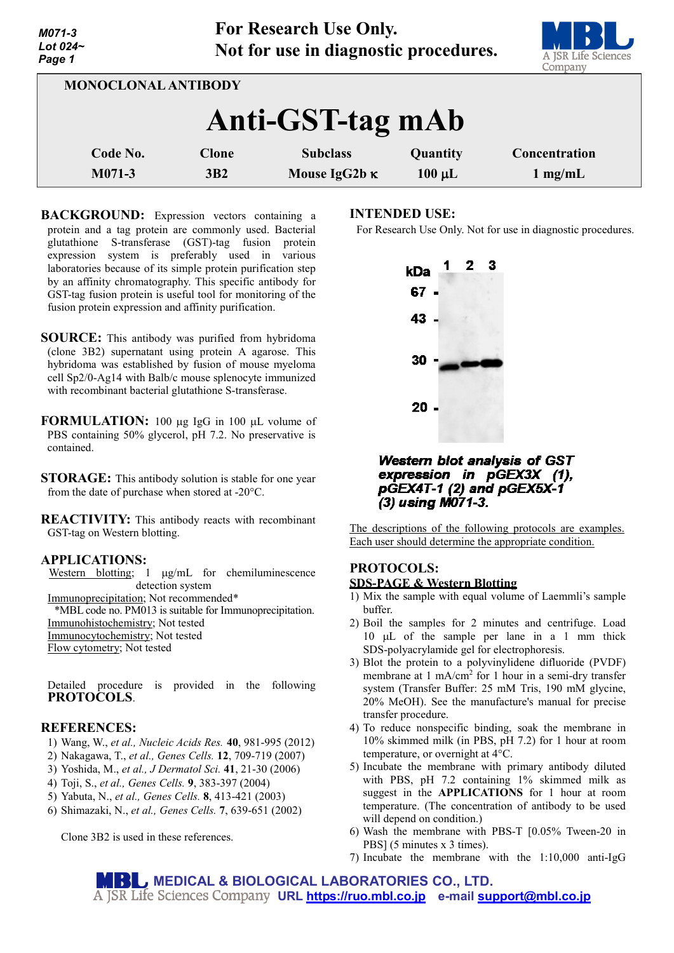| - <i>טיוו</i> ו<br>Lot $024-$<br>Page 1 |              | $= 0.2$ $= 0.00$ $= 0.00$ $= 0.00$ $= 0.00$<br>Not for use in diagnostic procedures. |             | A JSR Life Sciences<br>Company |
|-----------------------------------------|--------------|--------------------------------------------------------------------------------------|-------------|--------------------------------|
| <b>MONOCLONAL ANTIBODY</b>              |              |                                                                                      |             |                                |
| Anti-GST-tag mAb                        |              |                                                                                      |             |                                |
| Code No.                                | <b>Clone</b> | <b>Subclass</b>                                                                      | Quantity    | Concentration                  |
| $M071-3$                                | 3B2          | Mouse IgG2b $\kappa$                                                                 | $100 \mu L$ | $1 \text{ mg/mL}$              |

**For Research Use Only.**

**BACKGROUND:** Expression vectors containing a protein and a tag protein are commonly used. Bacterial glutathione S-transferase (GST)-tag fusion protein expression system is preferably used in various laboratories because of its simple protein purification step by an affinity chromatography. This specific antibody for GST-tag fusion protein is useful tool for monitoring of the fusion protein expression and affinity purification.

- **SOURCE:** This antibody was purified from hybridoma (clone 3B2) supernatant using protein A agarose. This hybridoma was established by fusion of mouse myeloma cell Sp2/0-Ag14 with Balb/c mouse splenocyte immunized with recombinant bacterial glutathione S-transferase.
- **FORMULATION:** 100 µg IgG in 100 µL volume of PBS containing 50% glycerol, pH 7.2. No preservative is contained.
- **STORAGE:** This antibody solution is stable for one year from the date of purchase when stored at -20°C.

**REACTIVITY:** This antibody reacts with recombinant GST-tag on Western blotting.

### **APPLICATIONS:**

*M071-3*

Western blotting; 1 µg/mL for chemiluminescence detection system

Immunoprecipitation; Not recommended\*

\*MBL code no. PM013 is suitable for Immunoprecipitation. Immunohistochemistry; Not tested

Immunocytochemistry; Not tested

Flow cytometry; Not tested

Detailed procedure is provided in the following **PROTOCOLS**.

## **REFERENCES:**

- 1) Wang, W., *et al., Nucleic Acids Res.* **40**, 981-995 (2012)
- 2) [Nakagawa,](http://www.ncbi.nlm.nih.gov/pubmed?term=Nakagawa%20T%5BAuthor%5D&cauthor=true&cauthor_uid=17573772) T., *et al., [Genes Cells.](http://www.ncbi.nlm.nih.gov/pubmed/17573772)* **12**, 709-719 (2007)
- 3) Yoshida, M., *et al.[, J Dermatol Sci.](http://www.ncbi.nlm.nih.gov/pubmed/16364599)* **41**, 21-30 (2006)
- 4) Toji, S., *et al., Genes Cells.* **9**, 383-397 (2004)
- 5) Yabuta, N., *et al., Genes Cells.* **8**, 413-421 (2003)
- 6) Shimazaki, N., *et al., Genes Cells.* **7**, 639-651 (2002)

Clone 3B2 is used in these references.

### **INTENDED USE:**

For Research Use Only. Not for use in diagnostic procedures.



**Western blot analysis of GST** expression in pGEX3X (1), pGEX4T-1 (2) and pGEX5X-1 (3) using M071-3.

The descriptions of the following protocols are examples. Each user should determine the appropriate condition.

## **PROTOCOLS: SDS-PAGE & Western Blotting**

- 1) Mix the sample with equal volume of Laemmli's sample buffer.
- 2) Boil the samples for 2 minutes and centrifuge. Load 10 µL of the sample per lane in a 1 mm thick SDS-polyacrylamide gel for electrophoresis.
- 3) Blot the protein to a polyvinylidene difluoride (PVDF) membrane at 1 mA/cm<sup>2</sup> for 1 hour in a semi-dry transfer system (Transfer Buffer: 25 mM Tris, 190 mM glycine, 20% MeOH). See the manufacture's manual for precise transfer procedure.
- 4) To reduce nonspecific binding, soak the membrane in 10% skimmed milk (in PBS, pH 7.2) for 1 hour at room temperature, or overnight at 4°C.
- 5) Incubate the membrane with primary antibody diluted with PBS, pH 7.2 containing 1% skimmed milk as suggest in the **APPLICATIONS** for 1 hour at room temperature. (The concentration of antibody to be used will depend on condition.)
- 6) Wash the membrane with PBS-T [0.05% Tween-20 in PBS] (5 minutes x 3 times).
- 7) Incubate the membrane with the 1:10,000 anti-IgG

**MEDICAL & BIOLOGICAL LABORATORIES CO., LTD. URL [https://ruo.mbl.co.jp](https://ruo.mbl.co.jp/) e-mail [support@mbl.co.jp](mailto:support@mbl.co.jp)**